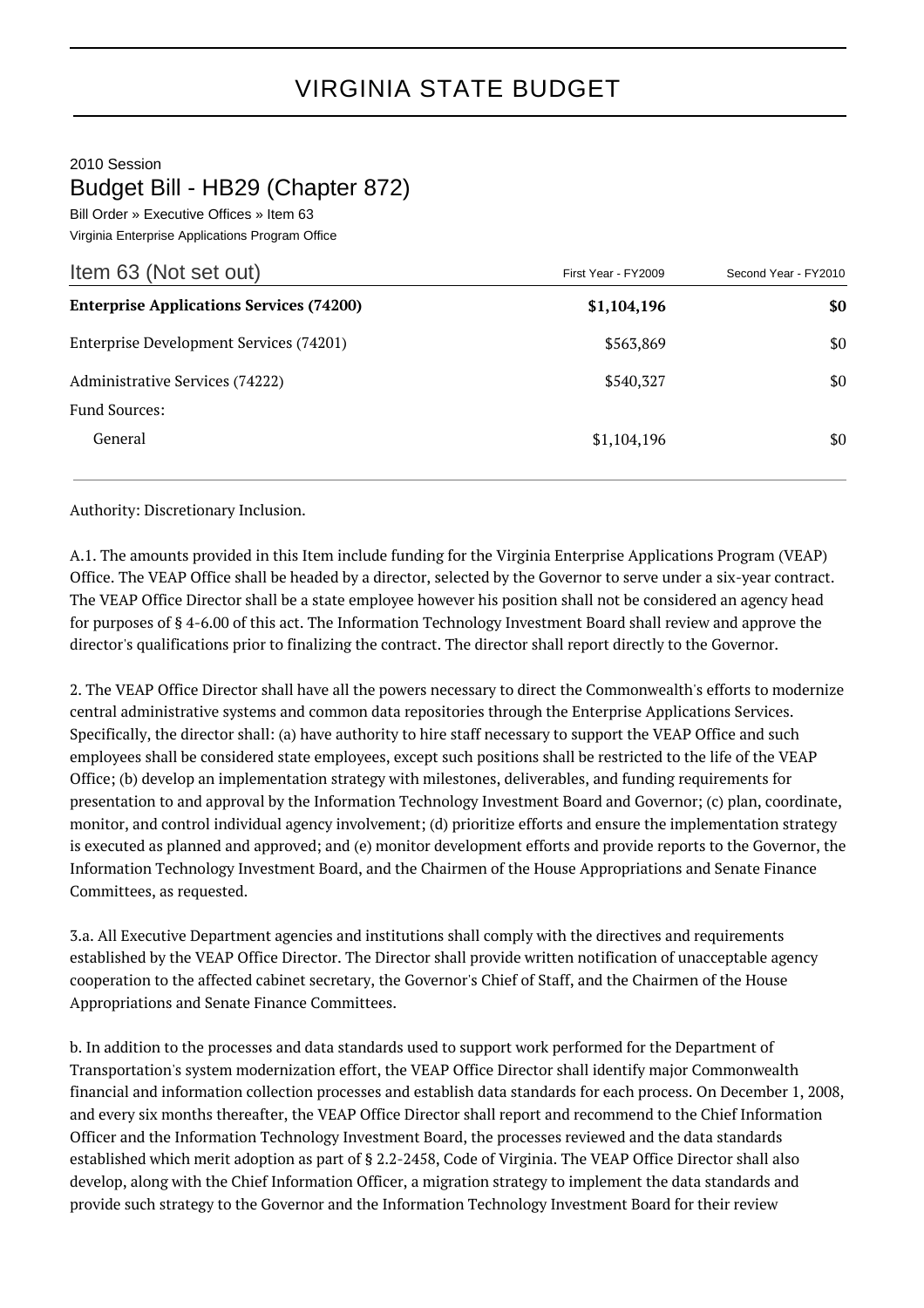## 2010 Session Budget Bill - HB29 (Chapter 872)

Bill Order » Executive Offices » Item 63 Virginia Enterprise Applications Program Office

| Item 63 (Not set out)                           | First Year - FY2009 | Second Year - FY2010 |
|-------------------------------------------------|---------------------|----------------------|
| <b>Enterprise Applications Services (74200)</b> | \$1,104,196         | \$0                  |
| Enterprise Development Services (74201)         | \$563,869           | \$0                  |
| Administrative Services (74222)                 | \$540,327           | \$0                  |
| Fund Sources:                                   |                     |                      |
| General                                         | \$1,104,196         | \$0                  |

Authority: Discretionary Inclusion.

A.1. The amounts provided in this Item include funding for the Virginia Enterprise Applications Program (VEAP) Office. The VEAP Office shall be headed by a director, selected by the Governor to serve under a six-year contract. The VEAP Office Director shall be a state employee however his position shall not be considered an agency head for purposes of § 4-6.00 of this act. The Information Technology Investment Board shall review and approve the director's qualifications prior to finalizing the contract. The director shall report directly to the Governor.

2. The VEAP Office Director shall have all the powers necessary to direct the Commonwealth's efforts to modernize central administrative systems and common data repositories through the Enterprise Applications Services. Specifically, the director shall: (a) have authority to hire staff necessary to support the VEAP Office and such employees shall be considered state employees, except such positions shall be restricted to the life of the VEAP Office; (b) develop an implementation strategy with milestones, deliverables, and funding requirements for presentation to and approval by the Information Technology Investment Board and Governor; (c) plan, coordinate, monitor, and control individual agency involvement; (d) prioritize efforts and ensure the implementation strategy is executed as planned and approved; and (e) monitor development efforts and provide reports to the Governor, the Information Technology Investment Board, and the Chairmen of the House Appropriations and Senate Finance Committees, as requested.

3.a. All Executive Department agencies and institutions shall comply with the directives and requirements established by the VEAP Office Director. The Director shall provide written notification of unacceptable agency cooperation to the affected cabinet secretary, the Governor's Chief of Staff, and the Chairmen of the House Appropriations and Senate Finance Committees.

b. In addition to the processes and data standards used to support work performed for the Department of Transportation's system modernization effort, the VEAP Office Director shall identify major Commonwealth financial and information collection processes and establish data standards for each process. On December 1, 2008, and every six months thereafter, the VEAP Office Director shall report and recommend to the Chief Information Officer and the Information Technology Investment Board, the processes reviewed and the data standards established which merit adoption as part of § 2.2-2458, Code of Virginia. The VEAP Office Director shall also develop, along with the Chief Information Officer, a migration strategy to implement the data standards and provide such strategy to the Governor and the Information Technology Investment Board for their review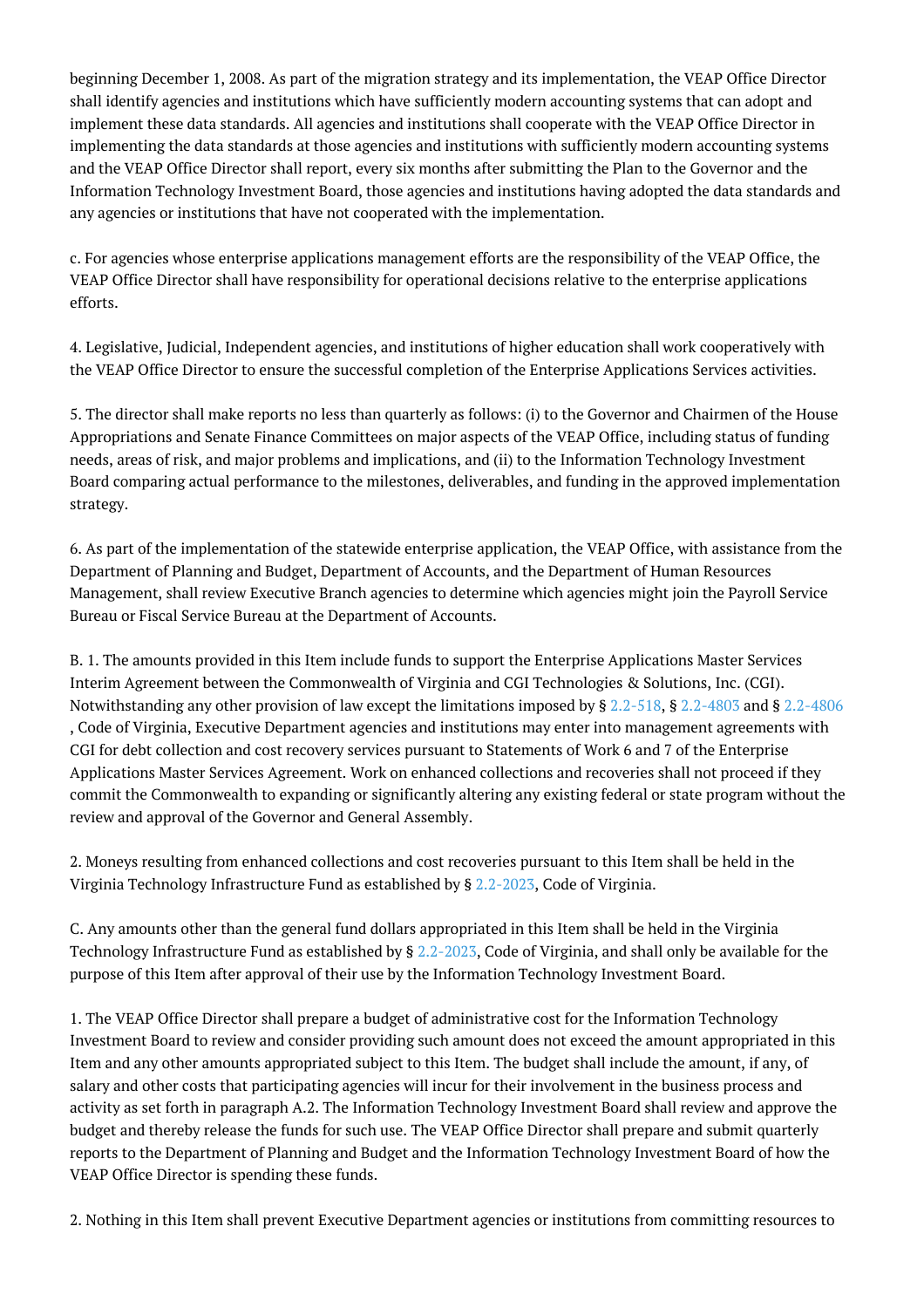beginning December 1, 2008. As part of the migration strategy and its implementation, the VEAP Office Director shall identify agencies and institutions which have sufficiently modern accounting systems that can adopt and implement these data standards. All agencies and institutions shall cooperate with the VEAP Office Director in implementing the data standards at those agencies and institutions with sufficiently modern accounting systems and the VEAP Office Director shall report, every six months after submitting the Plan to the Governor and the Information Technology Investment Board, those agencies and institutions having adopted the data standards and any agencies or institutions that have not cooperated with the implementation.

c. For agencies whose enterprise applications management efforts are the responsibility of the VEAP Office, the VEAP Office Director shall have responsibility for operational decisions relative to the enterprise applications efforts.

4. Legislative, Judicial, Independent agencies, and institutions of higher education shall work cooperatively with the VEAP Office Director to ensure the successful completion of the Enterprise Applications Services activities.

5. The director shall make reports no less than quarterly as follows: (i) to the Governor and Chairmen of the House Appropriations and Senate Finance Committees on major aspects of the VEAP Office, including status of funding needs, areas of risk, and major problems and implications, and (ii) to the Information Technology Investment Board comparing actual performance to the milestones, deliverables, and funding in the approved implementation strategy.

6. As part of the implementation of the statewide enterprise application, the VEAP Office, with assistance from the Department of Planning and Budget, Department of Accounts, and the Department of Human Resources Management, shall review Executive Branch agencies to determine which agencies might join the Payroll Service Bureau or Fiscal Service Bureau at the Department of Accounts.

B. 1. The amounts provided in this Item include funds to support the Enterprise Applications Master Services Interim Agreement between the Commonwealth of Virginia and CGI Technologies & Solutions, Inc. (CGI). Notwithstanding any other provision of law except the limitations imposed by § [2.2-518,](http://law.lis.virginia.gov/vacode/2.2-518/) § [2.2-4803](http://law.lis.virginia.gov/vacode/2.2-4803/) and § [2.2-4806](http://law.lis.virginia.gov/vacode/2.2-4806/) , Code of Virginia, Executive Department agencies and institutions may enter into management agreements with CGI for debt collection and cost recovery services pursuant to Statements of Work 6 and 7 of the Enterprise Applications Master Services Agreement. Work on enhanced collections and recoveries shall not proceed if they commit the Commonwealth to expanding or significantly altering any existing federal or state program without the review and approval of the Governor and General Assembly.

2. Moneys resulting from enhanced collections and cost recoveries pursuant to this Item shall be held in the Virginia Technology Infrastructure Fund as established by § [2.2-2023](http://law.lis.virginia.gov/vacode/2.2-2023/), Code of Virginia.

C. Any amounts other than the general fund dollars appropriated in this Item shall be held in the Virginia Technology Infrastructure Fund as established by § [2.2-2023,](http://law.lis.virginia.gov/vacode/2.2-2023/) Code of Virginia, and shall only be available for the purpose of this Item after approval of their use by the Information Technology Investment Board.

1. The VEAP Office Director shall prepare a budget of administrative cost for the Information Technology Investment Board to review and consider providing such amount does not exceed the amount appropriated in this Item and any other amounts appropriated subject to this Item. The budget shall include the amount, if any, of salary and other costs that participating agencies will incur for their involvement in the business process and activity as set forth in paragraph A.2. The Information Technology Investment Board shall review and approve the budget and thereby release the funds for such use. The VEAP Office Director shall prepare and submit quarterly reports to the Department of Planning and Budget and the Information Technology Investment Board of how the VEAP Office Director is spending these funds.

2. Nothing in this Item shall prevent Executive Department agencies or institutions from committing resources to